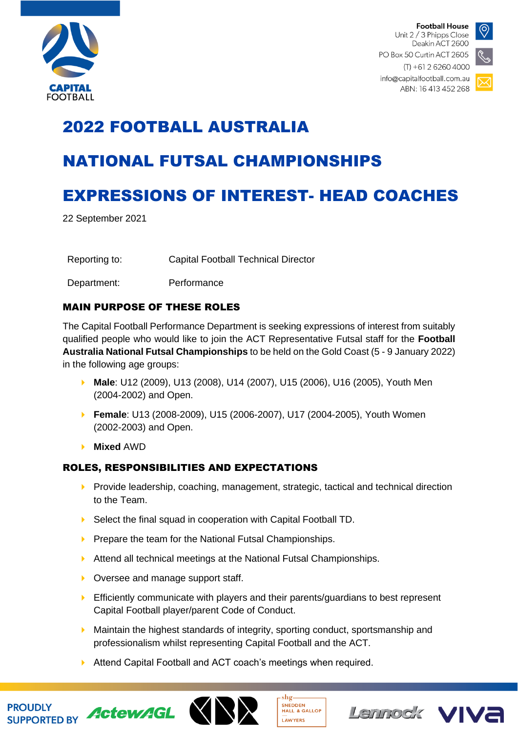

**Football House** Unit 2 / 3 Phipps Close Deakin ACT 2600 PO Box 50 Curtin ACT 2605



 $(T) + 61262604000$ info@capitalfootball.com.au ABN: 16 413 452 268

# 2022 FOOTBALL AUSTRALIA

## NATIONAL FUTSAL CHAMPIONSHIPS

## EXPRESSIONS OF INTEREST- HEAD COACHES

22 September 2021

Reporting to: Capital Football Technical Director

Department: Performance

### MAIN PURPOSE OF THESE ROLES

The Capital Football Performance Department is seeking expressions of interest from suitably qualified people who would like to join the ACT Representative Futsal staff for the **Football Australia National Futsal Championships** to be held on the Gold Coast (5 - 9 January 2022) in the following age groups:

- **Male**: U12 (2009), U13 (2008), U14 (2007), U15 (2006), U16 (2005), Youth Men (2004-2002) and Open.
- **Female**: U13 (2008-2009), U15 (2006-2007), U17 (2004-2005), Youth Women (2002-2003) and Open.
- **Mixed** AWD

PROUDLY SUPPORTED BY ActewAGL

### ROLES, RESPONSIBILITIES AND EXPECTATIONS

- $\triangleright$  Provide leadership, coaching, management, strategic, tactical and technical direction to the Team.
- ▶ Select the final squad in cooperation with Capital Football TD.
- $\triangleright$  Prepare the team for the National Futsal Championships.
- Attend all technical meetings at the National Futsal Championships.
- ▶ Oversee and manage support staff.
- **E** Efficiently communicate with players and their parents/guardians to best represent Capital Football player/parent Code of Conduct.
- $\blacktriangleright$  Maintain the highest standards of integrity, sporting conduct, sportsmanship and professionalism whilst representing Capital Football and the ACT.

SNEDDEN<br>HALL & GALLOP

LAWYERS

Lennock VIVE

Attend Capital Football and ACT coach's meetings when required.